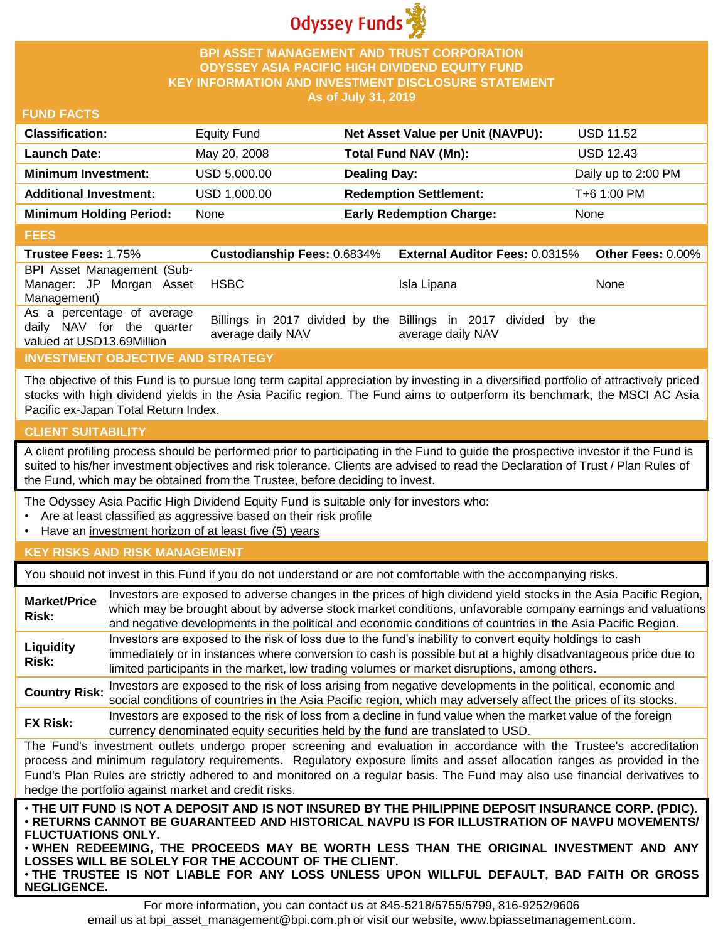

### **BPI ASSET MANAGEMENT AND TRUST CORPORATION ODYSSEY ASIA PACIFIC HIGH DIVIDEND EQUITY FUND KEY INFORMATION AND INVESTMENT DISCLOSURE STATEMENT As of July 31, 2019**

#### **FUND FACTS**

| <b>Classification:</b>         | <b>Equity Fund</b> | Net Asset Value per Unit (NAVPU): | <b>USD 11.52</b>    |
|--------------------------------|--------------------|-----------------------------------|---------------------|
| <b>Launch Date:</b>            | May 20, 2008       | <b>Total Fund NAV (Mn):</b>       | <b>USD 12.43</b>    |
| <b>Minimum Investment:</b>     | USD 5,000.00       | <b>Dealing Day:</b>               | Daily up to 2:00 PM |
| <b>Additional Investment:</b>  | USD 1,000.00       | <b>Redemption Settlement:</b>     | T+6 1:00 PM         |
| <b>Minimum Holding Period:</b> | None               | <b>Early Redemption Charge:</b>   | None                |

#### **FEES**

| Trustee Fees: 1.75%                                                                  | <b>Custodianship Fees: 0.6834%</b> | <b>External Auditor Fees: 0.0315%</b>                                                | <b>Other Fees: 0.00%</b> |
|--------------------------------------------------------------------------------------|------------------------------------|--------------------------------------------------------------------------------------|--------------------------|
| BPI Asset Management (Sub-<br>Manager: JP Morgan Asset<br>Management)                | HSBC                               | Isla Lipana                                                                          | None                     |
| As a percentage of average<br>daily NAV for the quarter<br>valued at USD13.69Million | average daily NAV                  | Billings in 2017 divided by the Billings in 2017 divided by the<br>average daily NAV |                          |

# **INVESTMENT OBJECTIVE AND STRATEGY**

The objective of this Fund is to pursue long term capital appreciation by investing in a diversified portfolio of attractively priced stocks with high dividend yields in the Asia Pacific region. The Fund aims to outperform its benchmark, the MSCI AC Asia Pacific ex-Japan Total Return Index.

### **CLIENT SUITABILITY**

**NEGLIGENCE.**

A client profiling process should be performed prior to participating in the Fund to guide the prospective investor if the Fund is suited to his/her investment objectives and risk tolerance. Clients are advised to read the Declaration of Trust / Plan Rules of the Fund, which may be obtained from the Trustee, before deciding to invest.

The Odyssey Asia Pacific High Dividend Equity Fund is suitable only for investors who:

- Are at least classified as aggressive based on their risk profile
- Have an investment horizon of at least five (5) years

### **KEY RISKS AND RISK MANAGEMENT**

You should not invest in this Fund if you do not understand or are not comfortable with the accompanying risks.

| <b>Market/Price</b><br>Risk:                                                                                                                                                                                                                                                                                                                                                                                                         | Investors are exposed to adverse changes in the prices of high dividend yield stocks in the Asia Pacific Region,<br>which may be brought about by adverse stock market conditions, unfavorable company earnings and valuations<br>and negative developments in the political and economic conditions of countries in the Asia Pacific Region.                                                                                                   |  |  |
|--------------------------------------------------------------------------------------------------------------------------------------------------------------------------------------------------------------------------------------------------------------------------------------------------------------------------------------------------------------------------------------------------------------------------------------|-------------------------------------------------------------------------------------------------------------------------------------------------------------------------------------------------------------------------------------------------------------------------------------------------------------------------------------------------------------------------------------------------------------------------------------------------|--|--|
| Liquidity<br>Risk:                                                                                                                                                                                                                                                                                                                                                                                                                   | Investors are exposed to the risk of loss due to the fund's inability to convert equity holdings to cash<br>immediately or in instances where conversion to cash is possible but at a highly disadvantageous price due to<br>limited participants in the market, low trading volumes or market disruptions, among others.                                                                                                                       |  |  |
| <b>Country Risk:</b>                                                                                                                                                                                                                                                                                                                                                                                                                 | Investors are exposed to the risk of loss arising from negative developments in the political, economic and<br>social conditions of countries in the Asia Pacific region, which may adversely affect the prices of its stocks.                                                                                                                                                                                                                  |  |  |
| <b>FX Risk:</b>                                                                                                                                                                                                                                                                                                                                                                                                                      | Investors are exposed to the risk of loss from a decline in fund value when the market value of the foreign<br>currency denominated equity securities held by the fund are translated to USD.                                                                                                                                                                                                                                                   |  |  |
| The Fund's investment outlets undergo proper screening and evaluation in accordance with the Trustee's accreditation<br>process and minimum regulatory requirements. Regulatory exposure limits and asset allocation ranges as provided in the<br>Fund's Plan Rules are strictly adhered to and monitored on a regular basis. The Fund may also use financial derivatives to<br>hedge the portfolio against market and credit risks. |                                                                                                                                                                                                                                                                                                                                                                                                                                                 |  |  |
| <b>FLUCTUATIONS ONLY.</b>                                                                                                                                                                                                                                                                                                                                                                                                            | . THE UIT FUND IS NOT A DEPOSIT AND IS NOT INSURED BY THE PHILIPPINE DEPOSIT INSURANCE CORP. (PDIC).<br>⋅RETURNS CANNOT BE GUARANTEED AND HISTORICAL NAVPU IS FOR ILLUSTRATION OF NAVPU MOVEMENTS/<br>. WHEN REDEEMING, THE PROCEEDS MAY BE WORTH LESS THAN THE ORIGINAL INVESTMENT AND ANY<br>LOSSES WILL BE SOLELY FOR THE ACCOUNT OF THE CLIENT.<br>. THE TRUSTEE IS NOT LIABLE FOR ANY LOSS UNLESS UPON WILLFUL DEFAULT, BAD FAITH OR GROSS |  |  |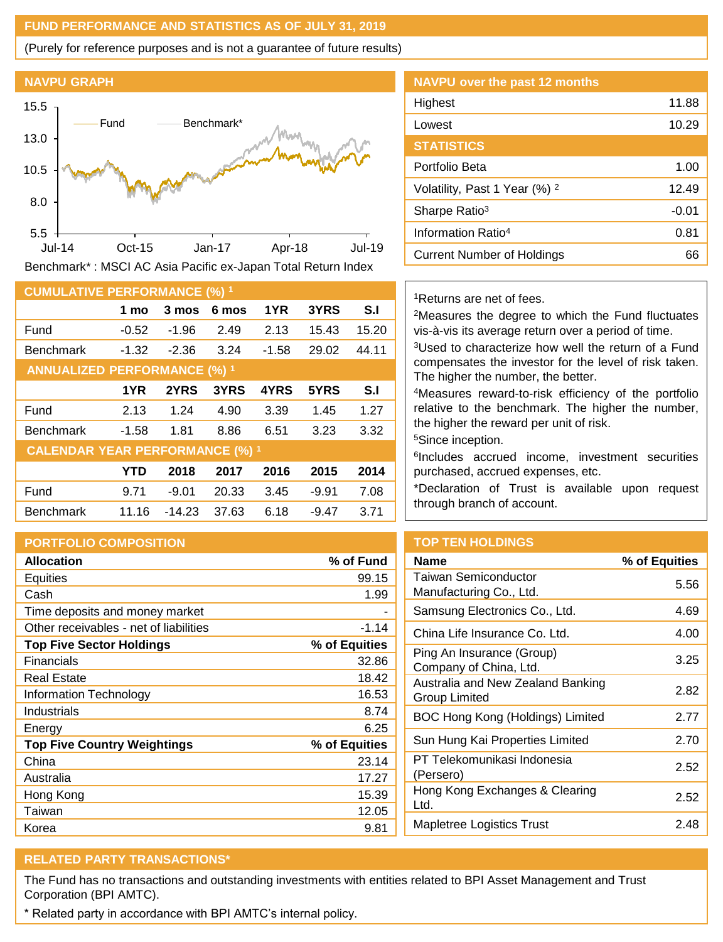### **FUND PERFORMANCE AND STATISTICS AS OF JULY 31, 2019**

(Purely for reference purposes and is not a guarantee of future results)



Benchmark\* : MSCI AC Asia Pacific ex-Japan Total Return Index

| <b>CUMULATIVE PERFORMANCE (%) 1</b>    |            |          |       |         |         |       |
|----------------------------------------|------------|----------|-------|---------|---------|-------|
|                                        | 1 mo       | 3 mos    | 6 mos | 1YR     | 3YRS    | S.I   |
| Fund                                   | $-0.52$    | $-1.96$  | 2.49  | 2.13    | 15.43   | 15.20 |
| <b>Benchmark</b>                       | $-1.32$    | $-2.36$  | 3.24  | $-1.58$ | 29.02   | 44.11 |
| <b>ANNUALIZED PERFORMANCE (%) 1</b>    |            |          |       |         |         |       |
|                                        | 1YR        | 2YRS     | 3YRS  | 4YRS    | 5YRS    | S.I   |
| Fund                                   | 2.13       | 1.24     | 4.90  | 3.39    | 1.45    | 1.27  |
| <b>Benchmark</b>                       | $-1.58$    | 1.81     | 8.86  | 6.51    | 3.23    | 3.32  |
| <b>CALENDAR YEAR PERFORMANCE (%) 1</b> |            |          |       |         |         |       |
|                                        | <b>YTD</b> | 2018     | 2017  | 2016    | 2015    | 2014  |
| Fund                                   | 9.71       | $-9.01$  | 20.33 | 3.45    | $-9.91$ | 7.08  |
| <b>Benchmark</b>                       | 11.16      | $-14.23$ | 37.63 | 6.18    | $-9.47$ | 3.71  |

### **PORTFOLIO COMPOSITION**

| <b>Allocation</b>                      | % of Fund     |
|----------------------------------------|---------------|
| <b>Equities</b>                        | 99.15         |
| Cash                                   | 1.99          |
| Time deposits and money market         |               |
| Other receivables - net of liabilities | $-1.14$       |
| <b>Top Five Sector Holdings</b>        | % of Equities |
| Financials                             | 32.86         |
| <b>Real Estate</b>                     | 18.42         |
| Information Technology                 | 16.53         |
| Industrials                            | 8.74          |
| Energy                                 | 6.25          |
| <b>Top Five Country Weightings</b>     | % of Equities |
| China                                  | 23.14         |
| Australia                              | 17.27         |
| Hong Kong                              | 15.39         |
| Taiwan                                 | 12.05         |
| Korea                                  | 9.81          |

| <b>NAVPU over the past 12 months</b>     |         |
|------------------------------------------|---------|
| Highest                                  | 11.88   |
| Lowest                                   | 10.29   |
| <b>STATISTICS</b>                        |         |
| Portfolio Beta                           | 1.00    |
| Volatility, Past 1 Year (%) <sup>2</sup> | 12.49   |
| Sharpe Ratio <sup>3</sup>                | $-0.01$ |
| Information Ratio <sup>4</sup>           | 0.81    |
| Current Number of Holdings               | 66      |

#### <sup>1</sup>Returns are net of fees.

<sup>2</sup>Measures the degree to which the Fund fluctuates vis-à-vis its average return over a period of time.

<sup>3</sup>Used to characterize how well the return of a Fund compensates the investor for the level of risk taken. The higher the number, the better.

<sup>4</sup>Measures reward-to-risk efficiency of the portfolio relative to the benchmark. The higher the number, the higher the reward per unit of risk.

<sup>5</sup>Since inception.

6 Includes accrued income, investment securities purchased, accrued expenses, etc.

\*Declaration of Trust is available upon request through branch of account.

# **TOP TEN HOLDINGS**

| Name                                                   | % of Equities |
|--------------------------------------------------------|---------------|
| <b>Taiwan Semiconductor</b><br>Manufacturing Co., Ltd. | 5.56          |
| Samsung Electronics Co., Ltd.                          | 4.69          |
| China Life Insurance Co. Ltd.                          | 4.00          |
| Ping An Insurance (Group)<br>Company of China, Ltd.    | 3.25          |
| Australia and New Zealand Banking<br>Group Limited     | 2.82          |
| BOC Hong Kong (Holdings) Limited                       | 2.77          |
| Sun Hung Kai Properties Limited                        | 2.70          |
| PT Telekomunikasi Indonesia<br>(Persero)               | 2.52          |
| Hong Kong Exchanges & Clearing<br>Ltd.                 | 2.52          |
| Mapletree Logistics Trust                              | 2.48          |

# **RELATED PARTY TRANSACTIONS\***

The Fund has no transactions and outstanding investments with entities related to BPI Asset Management and Trust Corporation (BPI AMTC).

\* Related party in accordance with BPI AMTC's internal policy.